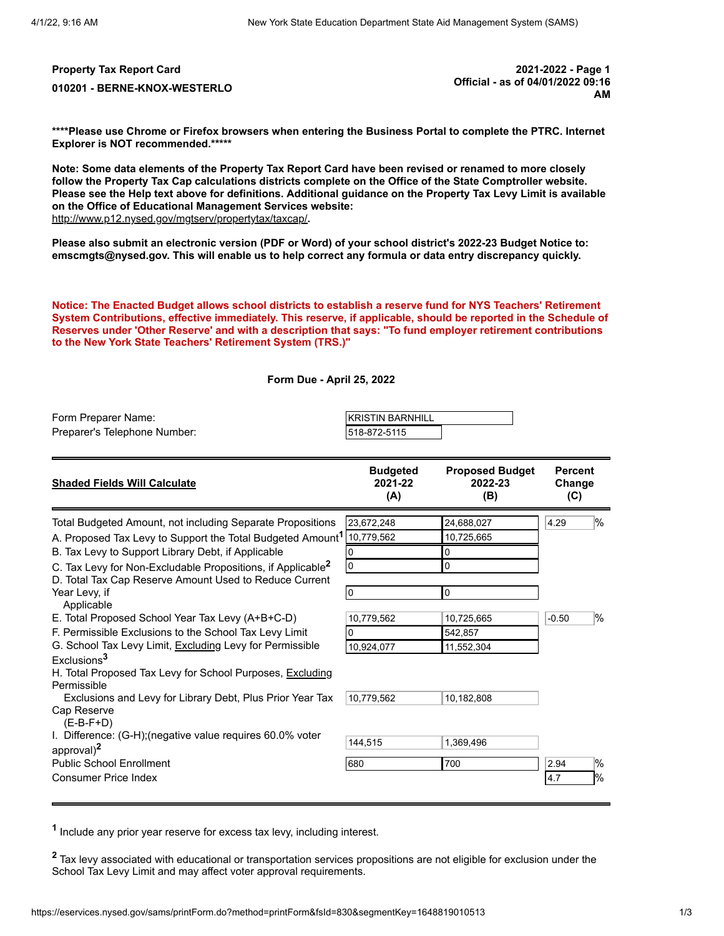**Property Tax Report Card 2021-2022 - Page 1 010201 - BERNE-KNOX-WESTERLO Official - as of 04/01/2022 09:16 AM**

**\*\*\*\*Please use Chrome or Firefox browsers when entering the Business Portal to complete the PTRC. Internet Explorer is NOT recommended.\*\*\*\*\***

**Note: Some data elements of the Property Tax Report Card have been revised or renamed to more closely follow the Property Tax Cap calculations districts complete on the Office of the State Comptroller website. Please see the Help text above for definitions. Additional guidance on the Property Tax Levy Limit is available on the Office of Educational Management Services website:** <http://www.p12.nysed.gov/mgtserv/propertytax/taxcap/>**.**

**Please also submit an electronic version (PDF or Word) of your school district's 2022-23 Budget Notice to: emscmgts@nysed.gov. This will enable us to help correct any formula or data entry discrepancy quickly.**

**Notice: The Enacted Budget allows school districts to establish a reserve fund for NYS Teachers' Retirement System Contributions, effective immediately. This reserve, if applicable, should be reported in the Schedule of Reserves under 'Other Reserve' and with a description that says: "To fund employer retirement contributions to the New York State Teachers' Retirement System (TRS.)"**

|  | Form Due - April 25, 2022 |  |  |
|--|---------------------------|--|--|
|--|---------------------------|--|--|

| Form Preparer Name:          | IKRISTIN BARNHILL |  |
|------------------------------|-------------------|--|
| Preparer's Telephone Number: | 1518-872-5115     |  |

| <b>Shaded Fields Will Calculate</b>                                                | <b>Budgeted</b><br>2021-22<br>(A) | <b>Proposed Budget</b><br>2022-23<br>(B) | <b>Percent</b><br>Change<br>(C) |               |
|------------------------------------------------------------------------------------|-----------------------------------|------------------------------------------|---------------------------------|---------------|
| Total Budgeted Amount, not including Separate Propositions                         | 23,672,248                        | 24,688,027                               | 4.29                            | %             |
| A. Proposed Tax Levy to Support the Total Budgeted Amount <sup>1</sup> [10,779,562 |                                   | 10,725,665                               |                                 |               |
| B. Tax Levy to Support Library Debt, if Applicable                                 | 0                                 | 0                                        |                                 |               |
| C. Tax Levy for Non-Excludable Propositions, if Applicable <sup>2</sup>            | 0                                 | 0                                        |                                 |               |
| D. Total Tax Cap Reserve Amount Used to Reduce Current                             |                                   |                                          |                                 |               |
| Year Levy, if                                                                      | 0                                 | 0                                        |                                 |               |
| Applicable                                                                         |                                   |                                          |                                 |               |
| E. Total Proposed School Year Tax Levy (A+B+C-D)                                   | 10,779,562                        | 10,725,665                               | $-0.50$                         | $\frac{1}{2}$ |
| F. Permissible Exclusions to the School Tax Levy Limit                             | 0                                 | 542,857                                  |                                 |               |
| G. School Tax Levy Limit, Excluding Levy for Permissible                           | 10,924,077                        | 11,552,304                               |                                 |               |
| Exclusions <sup>3</sup>                                                            |                                   |                                          |                                 |               |
| H. Total Proposed Tax Levy for School Purposes, Excluding<br>Permissible           |                                   |                                          |                                 |               |
| Exclusions and Levy for Library Debt, Plus Prior Year Tax                          | 10.779.562                        | 10,182,808                               |                                 |               |
| Cap Reserve<br>$(E-B-F+D)$                                                         |                                   |                                          |                                 |               |
| I. Difference: (G-H); (negative value requires 60.0% voter                         | 144,515                           | 1.369.496                                |                                 |               |
| approval) $2$                                                                      |                                   |                                          |                                 |               |
| <b>Public School Enrollment</b>                                                    | 680                               | 700                                      | 2.94                            | $\%$          |
| <b>Consumer Price Index</b>                                                        |                                   |                                          | 4.7                             | 1%            |
|                                                                                    |                                   |                                          |                                 |               |

**1** Include any prior year reserve for excess tax levy, including interest.

**<sup>2</sup>** Tax levy associated with educational or transportation services propositions are not eligible for exclusion under the School Tax Levy Limit and may affect voter approval requirements.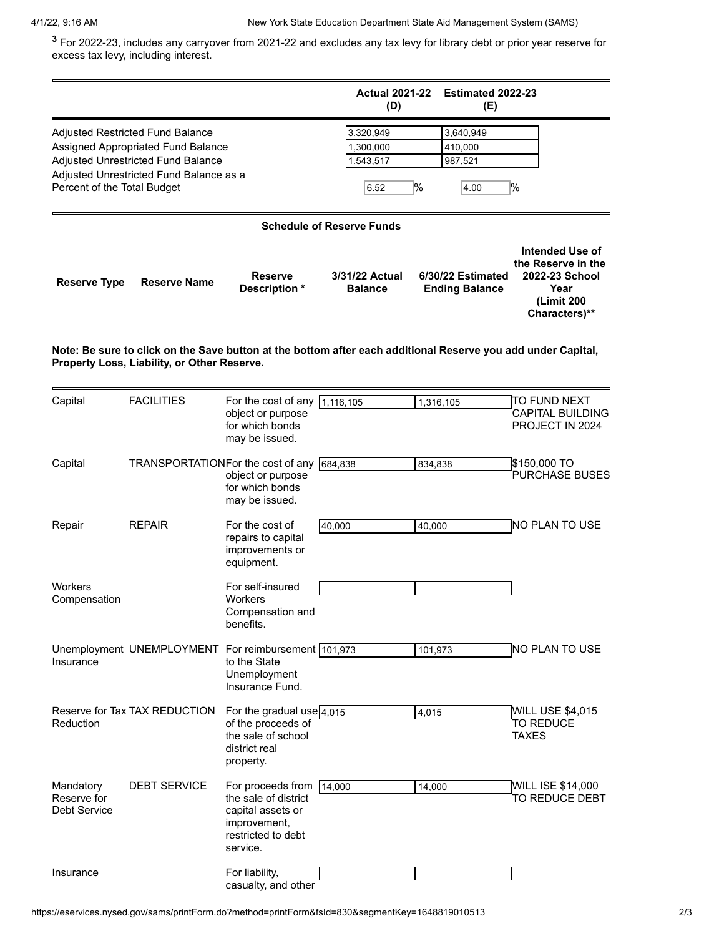**<sup>3</sup>** For 2022-23, includes any carryover from 2021-22 and excludes any tax levy for library debt or prior year reserve for excess tax levy, including interest.

|                                          |                                                                                                                                                         |                                                                                                                  | <b>Actual 2021-22</b><br>(D)                | Estimated 2022-23<br>(E)                                                                                     |                                                                                                       |
|------------------------------------------|---------------------------------------------------------------------------------------------------------------------------------------------------------|------------------------------------------------------------------------------------------------------------------|---------------------------------------------|--------------------------------------------------------------------------------------------------------------|-------------------------------------------------------------------------------------------------------|
| Percent of the Total Budget              | Adjusted Restricted Fund Balance<br>Assigned Appropriated Fund Balance<br>Adjusted Unrestricted Fund Balance<br>Adjusted Unrestricted Fund Balance as a |                                                                                                                  | 3,320,949<br>1,300,000<br>1,543,517<br>6.52 | 3,640,949<br>410,000<br>987,521<br>$\%$<br>4.00                                                              | $\frac{9}{6}$                                                                                         |
|                                          |                                                                                                                                                         |                                                                                                                  | <b>Schedule of Reserve Funds</b>            |                                                                                                              |                                                                                                       |
| <b>Reserve Type</b>                      | <b>Reserve Name</b>                                                                                                                                     | <b>Reserve</b><br>Description *                                                                                  | 3/31/22 Actual<br><b>Balance</b>            | 6/30/22 Estimated<br><b>Ending Balance</b>                                                                   | <b>Intended Use of</b><br>the Reserve in the<br>2022-23 School<br>Year<br>(Limit 200<br>Characters)** |
|                                          | Property Loss, Liability, or Other Reserve.                                                                                                             |                                                                                                                  |                                             | Note: Be sure to click on the Save button at the bottom after each additional Reserve you add under Capital, |                                                                                                       |
| Capital                                  | <b>FACILITIES</b>                                                                                                                                       | For the cost of any $\boxed{1,116,105}$<br>object or purpose<br>for which bonds<br>may be issued.                |                                             | 1,316,105                                                                                                    | TO FUND NEXT<br>CAPITAL BUILDING<br>PROJECT IN 2024                                                   |
| Capital                                  | TRANSPORTATIONFor the cost of any                                                                                                                       | object or purpose<br>for which bonds<br>may be issued.                                                           | 684,838                                     | 834,838                                                                                                      | \$150,000 TO<br>PURCHASE BUSES                                                                        |
| Repair                                   | <b>REPAIR</b>                                                                                                                                           | For the cost of<br>repairs to capital<br>improvements or<br>equipment.                                           | 40,000                                      | 40,000                                                                                                       | <b>NO PLAN TO USE</b>                                                                                 |
| Workers<br>Compensation                  |                                                                                                                                                         | For self-insured<br>Workers<br>Compensation and<br>benefits.                                                     |                                             |                                                                                                              |                                                                                                       |
| Insurance                                | Unemployment UNEMPLOYMENT For reimbursement 101,973                                                                                                     | to the State<br>Unemployment<br>Insurance Fund.                                                                  |                                             | 101,973                                                                                                      | <b>NO PLAN TO USE</b>                                                                                 |
| Reduction                                | Reserve for Tax TAX REDUCTION                                                                                                                           | For the gradual use $\boxed{4,015}$<br>of the proceeds of<br>the sale of school<br>district real<br>property.    |                                             | 4,015                                                                                                        | <b>WILL USE \$4,015</b><br><b>TO REDUCE</b><br><b>TAXES</b>                                           |
| Mandatory<br>Reserve for<br>Debt Service | <b>DEBT SERVICE</b>                                                                                                                                     | For proceeds from<br>the sale of district<br>capital assets or<br>improvement,<br>restricted to debt<br>service. | 14,000                                      | 14,000                                                                                                       | <b>WILL ISE \$14,000</b><br>TO REDUCE DEBT                                                            |
| Insurance                                |                                                                                                                                                         | For liability,<br>casualty, and other                                                                            |                                             |                                                                                                              |                                                                                                       |